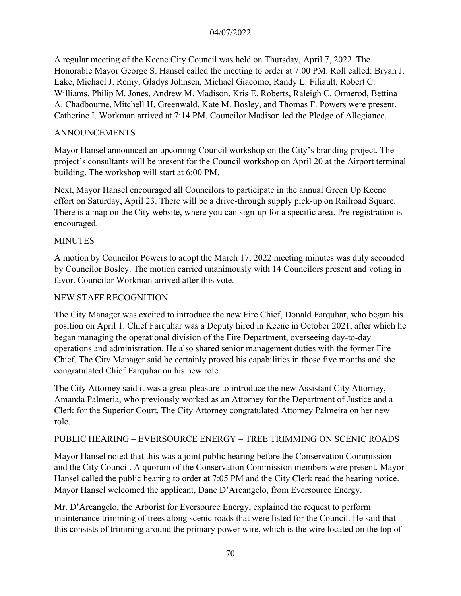A regular meeting of the Keene City Council was held on Thursday, April 7, 2022. The Honorable Mayor George S. Hansel called the meeting to order at 7:00 PM. Roll called: Bryan J. Lake, Michael J. Remy, Gladys Johnsen, Michael Giacomo, Randy L. Filiault, Robert C. Williams, Philip M. Jones, Andrew M. Madison, Kris E. Roberts, Raleigh C. Ormerod, Bettina A. Chadbourne, Mitchell H. Greenwald, Kate M. Bosley, and Thomas F. Powers were present. Catherine I. Workman arrived at 7:14 PM. Councilor Madison led the Pledge of Allegiance.

#### ANNOUNCEMENTS

Mayor Hansel announced an upcoming Council workshop on the City's branding project. The project's consultants will be present for the Council workshop on April 20 at the Airport terminal building. The workshop will start at 6:00 PM.

Next, Mayor Hansel encouraged all Councilors to participate in the annual Green Up Keene effort on Saturday, April 23. There will be a drive-through supply pick-up on Railroad Square. There is a map on the City website, where you can sign-up for a specific area. Pre-registration is encouraged.

#### MINUTES

A motion by Councilor Powers to adopt the March 17, 2022 meeting minutes was duly seconded by Councilor Bosley. The motion carried unanimously with 14 Councilors present and voting in favor. Councilor Workman arrived after this vote.

#### NEW STAFF RECOGNITION

The City Manager was excited to introduce the new Fire Chief, Donald Farquhar, who began his position on April 1. Chief Farquhar was a Deputy hired in Keene in October 2021, after which he began managing the operational division of the Fire Department, overseeing day-to-day operations and administration. He also shared senior management duties with the former Fire Chief. The City Manager said he certainly proved his capabilities in those five months and she congratulated Chief Farquhar on his new role.

The City Attorney said it was a great pleasure to introduce the new Assistant City Attorney, Amanda Palmeria, who previously worked as an Attorney for the Department of Justice and a Clerk for the Superior Court. The City Attorney congratulated Attorney Palmeira on her new role.

#### PUBLIC HEARING – EVERSOURCE ENERGY – TREE TRIMMING ON SCENIC ROADS

Mayor Hansel noted that this was a joint public hearing before the Conservation Commission and the City Council. A quorum of the Conservation Commission members were present. Mayor Hansel called the public hearing to order at 7:05 PM and the City Clerk read the hearing notice. Mayor Hansel welcomed the applicant, Dane D'Arcangelo, from Eversource Energy.

Mr. D'Arcangelo, the Arborist for Eversource Energy, explained the request to perform maintenance trimming of trees along scenic roads that were listed for the Council. He said that this consists of trimming around the primary power wire, which is the wire located on the top of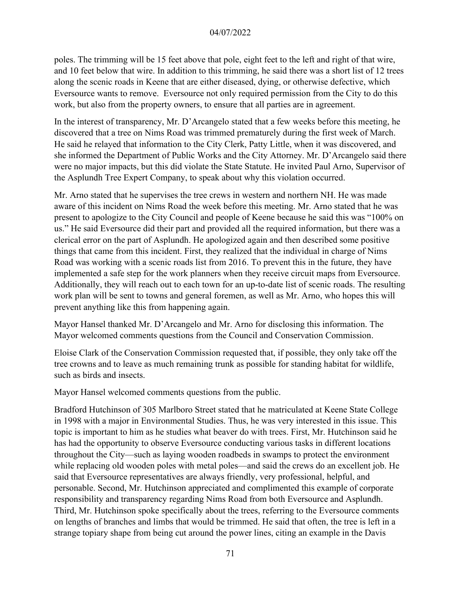poles. The trimming will be 15 feet above that pole, eight feet to the left and right of that wire, and 10 feet below that wire. In addition to this trimming, he said there was a short list of 12 trees along the scenic roads in Keene that are either diseased, dying, or otherwise defective, which Eversource wants to remove. Eversource not only required permission from the City to do this work, but also from the property owners, to ensure that all parties are in agreement.

In the interest of transparency, Mr. D'Arcangelo stated that a few weeks before this meeting, he discovered that a tree on Nims Road was trimmed prematurely during the first week of March. He said he relayed that information to the City Clerk, Patty Little, when it was discovered, and she informed the Department of Public Works and the City Attorney. Mr. D'Arcangelo said there were no major impacts, but this did violate the State Statute. He invited Paul Arno, Supervisor of the Asplundh Tree Expert Company, to speak about why this violation occurred.

Mr. Arno stated that he supervises the tree crews in western and northern NH. He was made aware of this incident on Nims Road the week before this meeting. Mr. Arno stated that he was present to apologize to the City Council and people of Keene because he said this was "100% on us." He said Eversource did their part and provided all the required information, but there was a clerical error on the part of Asplundh. He apologized again and then described some positive things that came from this incident. First, they realized that the individual in charge of Nims Road was working with a scenic roads list from 2016. To prevent this in the future, they have implemented a safe step for the work planners when they receive circuit maps from Eversource. Additionally, they will reach out to each town for an up-to-date list of scenic roads. The resulting work plan will be sent to towns and general foremen, as well as Mr. Arno, who hopes this will prevent anything like this from happening again.

Mayor Hansel thanked Mr. D'Arcangelo and Mr. Arno for disclosing this information. The Mayor welcomed comments questions from the Council and Conservation Commission.

Eloise Clark of the Conservation Commission requested that, if possible, they only take off the tree crowns and to leave as much remaining trunk as possible for standing habitat for wildlife, such as birds and insects.

Mayor Hansel welcomed comments questions from the public.

Bradford Hutchinson of 305 Marlboro Street stated that he matriculated at Keene State College in 1998 with a major in Environmental Studies. Thus, he was very interested in this issue. This topic is important to him as he studies what beaver do with trees. First, Mr. Hutchinson said he has had the opportunity to observe Eversource conducting various tasks in different locations throughout the City—such as laying wooden roadbeds in swamps to protect the environment while replacing old wooden poles with metal poles—and said the crews do an excellent job. He said that Eversource representatives are always friendly, very professional, helpful, and personable. Second, Mr. Hutchinson appreciated and complimented this example of corporate responsibility and transparency regarding Nims Road from both Eversource and Asplundh. Third, Mr. Hutchinson spoke specifically about the trees, referring to the Eversource comments on lengths of branches and limbs that would be trimmed. He said that often, the tree is left in a strange topiary shape from being cut around the power lines, citing an example in the Davis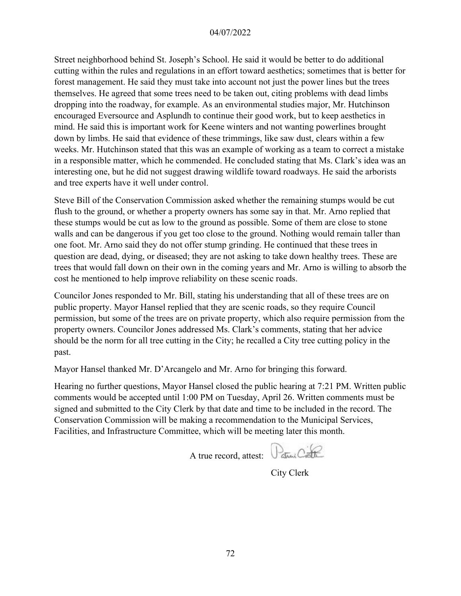Street neighborhood behind St. Joseph's School. He said it would be better to do additional cutting within the rules and regulations in an effort toward aesthetics; sometimes that is better for forest management. He said they must take into account not just the power lines but the trees themselves. He agreed that some trees need to be taken out, citing problems with dead limbs dropping into the roadway, for example. As an environmental studies major, Mr. Hutchinson encouraged Eversource and Asplundh to continue their good work, but to keep aesthetics in mind. He said this is important work for Keene winters and not wanting powerlines brought down by limbs. He said that evidence of these trimmings, like saw dust, clears within a few weeks. Mr. Hutchinson stated that this was an example of working as a team to correct a mistake in a responsible matter, which he commended. He concluded stating that Ms. Clark's idea was an interesting one, but he did not suggest drawing wildlife toward roadways. He said the arborists and tree experts have it well under control.

Steve Bill of the Conservation Commission asked whether the remaining stumps would be cut flush to the ground, or whether a property owners has some say in that. Mr. Arno replied that these stumps would be cut as low to the ground as possible. Some of them are close to stone walls and can be dangerous if you get too close to the ground. Nothing would remain taller than one foot. Mr. Arno said they do not offer stump grinding. He continued that these trees in question are dead, dying, or diseased; they are not asking to take down healthy trees. These are trees that would fall down on their own in the coming years and Mr. Arno is willing to absorb the cost he mentioned to help improve reliability on these scenic roads.

Councilor Jones responded to Mr. Bill, stating his understanding that all of these trees are on public property. Mayor Hansel replied that they are scenic roads, so they require Council permission, but some of the trees are on private property, which also require permission from the property owners. Councilor Jones addressed Ms. Clark's comments, stating that her advice should be the norm for all tree cutting in the City; he recalled a City tree cutting policy in the past.

Mayor Hansel thanked Mr. D'Arcangelo and Mr. Arno for bringing this forward.

Hearing no further questions, Mayor Hansel closed the public hearing at 7:21 PM. Written public comments would be accepted until 1:00 PM on Tuesday, April 26. Written comments must be signed and submitted to the City Clerk by that date and time to be included in the record. The Conservation Commission will be making a recommendation to the Municipal Services, Facilities, and Infrastructure Committee, which will be meeting later this month.

A true record, attest: Parmi

City Clerk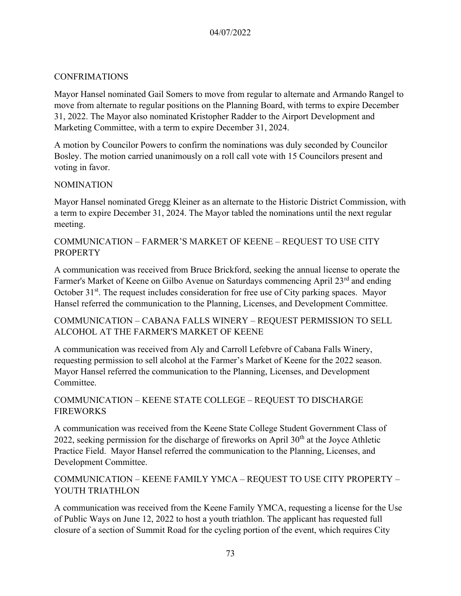### CONFRIMATIONS

Mayor Hansel nominated Gail Somers to move from regular to alternate and Armando Rangel to move from alternate to regular positions on the Planning Board, with terms to expire December 31, 2022. The Mayor also nominated Kristopher Radder to the Airport Development and Marketing Committee, with a term to expire December 31, 2024.

A motion by Councilor Powers to confirm the nominations was duly seconded by Councilor Bosley. The motion carried unanimously on a roll call vote with 15 Councilors present and voting in favor.

#### NOMINATION

Mayor Hansel nominated Gregg Kleiner as an alternate to the Historic District Commission, with a term to expire December 31, 2024. The Mayor tabled the nominations until the next regular meeting.

# COMMUNICATION – FARMER'S MARKET OF KEENE – REQUEST TO USE CITY **PROPERTY**

A communication was received from Bruce Brickford, seeking the annual license to operate the Farmer's Market of Keene on Gilbo Avenue on Saturdays commencing April 23<sup>rd</sup> and ending October 31<sup>st</sup>. The request includes consideration for free use of City parking spaces. Mayor Hansel referred the communication to the Planning, Licenses, and Development Committee.

COMMUNICATION – CABANA FALLS WINERY – REQUEST PERMISSION TO SELL ALCOHOL AT THE FARMER'S MARKET OF KEENE

A communication was received from Aly and Carroll Lefebvre of Cabana Falls Winery, requesting permission to sell alcohol at the Farmer's Market of Keene for the 2022 season. Mayor Hansel referred the communication to the Planning, Licenses, and Development Committee.

## COMMUNICATION – KEENE STATE COLLEGE – REQUEST TO DISCHARGE **FIREWORKS**

A communication was received from the Keene State College Student Government Class of 2022, seeking permission for the discharge of fireworks on April  $30<sup>th</sup>$  at the Joyce Athletic Practice Field. Mayor Hansel referred the communication to the Planning, Licenses, and Development Committee.

# COMMUNICATION – KEENE FAMILY YMCA – REQUEST TO USE CITY PROPERTY – YOUTH TRIATHLON

A communication was received from the Keene Family YMCA, requesting a license for the Use of Public Ways on June 12, 2022 to host a youth triathlon. The applicant has requested full closure of a section of Summit Road for the cycling portion of the event, which requires City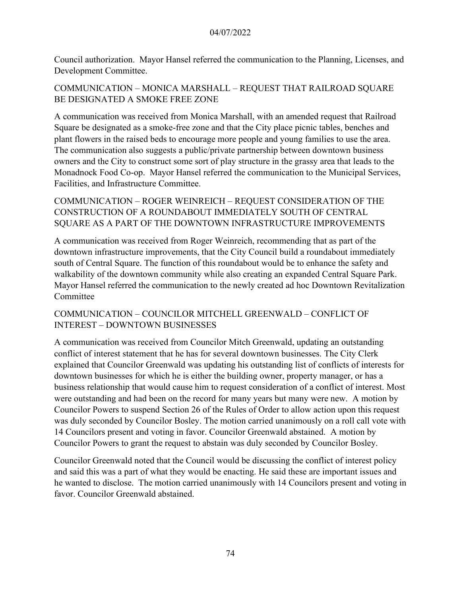Council authorization. Mayor Hansel referred the communication to the Planning, Licenses, and Development Committee.

# COMMUNICATION – MONICA MARSHALL – REQUEST THAT RAILROAD SQUARE BE DESIGNATED A SMOKE FREE ZONE

A communication was received from Monica Marshall, with an amended request that Railroad Square be designated as a smoke-free zone and that the City place picnic tables, benches and plant flowers in the raised beds to encourage more people and young families to use the area. The communication also suggests a public/private partnership between downtown business owners and the City to construct some sort of play structure in the grassy area that leads to the Monadnock Food Co-op. Mayor Hansel referred the communication to the Municipal Services, Facilities, and Infrastructure Committee.

COMMUNICATION – ROGER WEINREICH – REQUEST CONSIDERATION OF THE CONSTRUCTION OF A ROUNDABOUT IMMEDIATELY SOUTH OF CENTRAL SQUARE AS A PART OF THE DOWNTOWN INFRASTRUCTURE IMPROVEMENTS

A communication was received from Roger Weinreich, recommending that as part of the downtown infrastructure improvements, that the City Council build a roundabout immediately south of Central Square. The function of this roundabout would be to enhance the safety and walkability of the downtown community while also creating an expanded Central Square Park. Mayor Hansel referred the communication to the newly created ad hoc Downtown Revitalization Committee

COMMUNICATION – COUNCILOR MITCHELL GREENWALD – CONFLICT OF INTEREST – DOWNTOWN BUSINESSES

A communication was received from Councilor Mitch Greenwald, updating an outstanding conflict of interest statement that he has for several downtown businesses. The City Clerk explained that Councilor Greenwald was updating his outstanding list of conflicts of interests for downtown businesses for which he is either the building owner, property manager, or has a business relationship that would cause him to request consideration of a conflict of interest. Most were outstanding and had been on the record for many years but many were new. A motion by Councilor Powers to suspend Section 26 of the Rules of Order to allow action upon this request was duly seconded by Councilor Bosley. The motion carried unanimously on a roll call vote with 14 Councilors present and voting in favor. Councilor Greenwald abstained. A motion by Councilor Powers to grant the request to abstain was duly seconded by Councilor Bosley.

Councilor Greenwald noted that the Council would be discussing the conflict of interest policy and said this was a part of what they would be enacting. He said these are important issues and he wanted to disclose. The motion carried unanimously with 14 Councilors present and voting in favor. Councilor Greenwald abstained.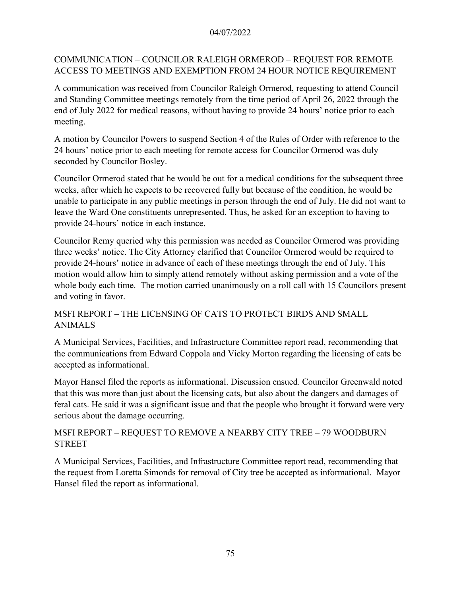# COMMUNICATION – COUNCILOR RALEIGH ORMEROD – REQUEST FOR REMOTE ACCESS TO MEETINGS AND EXEMPTION FROM 24 HOUR NOTICE REQUIREMENT

A communication was received from Councilor Raleigh Ormerod, requesting to attend Council and Standing Committee meetings remotely from the time period of April 26, 2022 through the end of July 2022 for medical reasons, without having to provide 24 hours' notice prior to each meeting.

A motion by Councilor Powers to suspend Section 4 of the Rules of Order with reference to the 24 hours' notice prior to each meeting for remote access for Councilor Ormerod was duly seconded by Councilor Bosley.

Councilor Ormerod stated that he would be out for a medical conditions for the subsequent three weeks, after which he expects to be recovered fully but because of the condition, he would be unable to participate in any public meetings in person through the end of July. He did not want to leave the Ward One constituents unrepresented. Thus, he asked for an exception to having to provide 24-hours' notice in each instance.

Councilor Remy queried why this permission was needed as Councilor Ormerod was providing three weeks' notice. The City Attorney clarified that Councilor Ormerod would be required to provide 24-hours' notice in advance of each of these meetings through the end of July. This motion would allow him to simply attend remotely without asking permission and a vote of the whole body each time. The motion carried unanimously on a roll call with 15 Councilors present and voting in favor.

# MSFI REPORT – THE LICENSING OF CATS TO PROTECT BIRDS AND SMALL ANIMALS

A Municipal Services, Facilities, and Infrastructure Committee report read, recommending that the communications from Edward Coppola and Vicky Morton regarding the licensing of cats be accepted as informational.

Mayor Hansel filed the reports as informational. Discussion ensued. Councilor Greenwald noted that this was more than just about the licensing cats, but also about the dangers and damages of feral cats. He said it was a significant issue and that the people who brought it forward were very serious about the damage occurring.

# MSFI REPORT – REQUEST TO REMOVE A NEARBY CITY TREE – 79 WOODBURN STREET

A Municipal Services, Facilities, and Infrastructure Committee report read, recommending that the request from Loretta Simonds for removal of City tree be accepted as informational. Mayor Hansel filed the report as informational.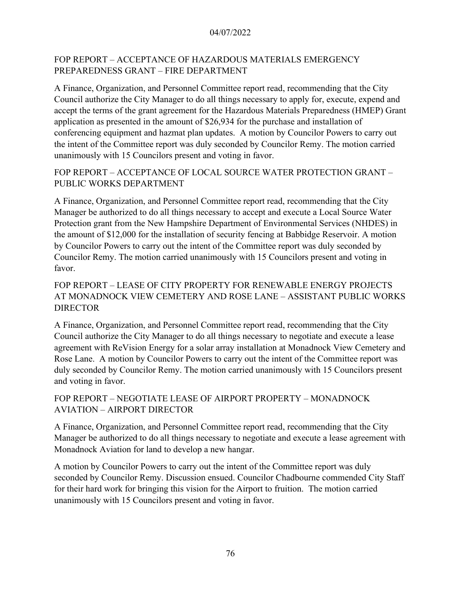# FOP REPORT – ACCEPTANCE OF HAZARDOUS MATERIALS EMERGENCY PREPAREDNESS GRANT – FIRE DEPARTMENT

A Finance, Organization, and Personnel Committee report read, recommending that the City Council authorize the City Manager to do all things necessary to apply for, execute, expend and accept the terms of the grant agreement for the Hazardous Materials Preparedness (HMEP) Grant application as presented in the amount of \$26,934 for the purchase and installation of conferencing equipment and hazmat plan updates. A motion by Councilor Powers to carry out the intent of the Committee report was duly seconded by Councilor Remy. The motion carried unanimously with 15 Councilors present and voting in favor.

# FOP REPORT – ACCEPTANCE OF LOCAL SOURCE WATER PROTECTION GRANT – PUBLIC WORKS DEPARTMENT

A Finance, Organization, and Personnel Committee report read, recommending that the City Manager be authorized to do all things necessary to accept and execute a Local Source Water Protection grant from the New Hampshire Department of Environmental Services (NHDES) in the amount of \$12,000 for the installation of security fencing at Babbidge Reservoir. A motion by Councilor Powers to carry out the intent of the Committee report was duly seconded by Councilor Remy. The motion carried unanimously with 15 Councilors present and voting in favor.

# FOP REPORT – LEASE OF CITY PROPERTY FOR RENEWABLE ENERGY PROJECTS AT MONADNOCK VIEW CEMETERY AND ROSE LANE – ASSISTANT PUBLIC WORKS **DIRECTOR**

A Finance, Organization, and Personnel Committee report read, recommending that the City Council authorize the City Manager to do all things necessary to negotiate and execute a lease agreement with ReVision Energy for a solar array installation at Monadnock View Cemetery and Rose Lane. A motion by Councilor Powers to carry out the intent of the Committee report was duly seconded by Councilor Remy. The motion carried unanimously with 15 Councilors present and voting in favor.

# FOP REPORT – NEGOTIATE LEASE OF AIRPORT PROPERTY – MONADNOCK AVIATION – AIRPORT DIRECTOR

A Finance, Organization, and Personnel Committee report read, recommending that the City Manager be authorized to do all things necessary to negotiate and execute a lease agreement with Monadnock Aviation for land to develop a new hangar.

A motion by Councilor Powers to carry out the intent of the Committee report was duly seconded by Councilor Remy. Discussion ensued. Councilor Chadbourne commended City Staff for their hard work for bringing this vision for the Airport to fruition. The motion carried unanimously with 15 Councilors present and voting in favor.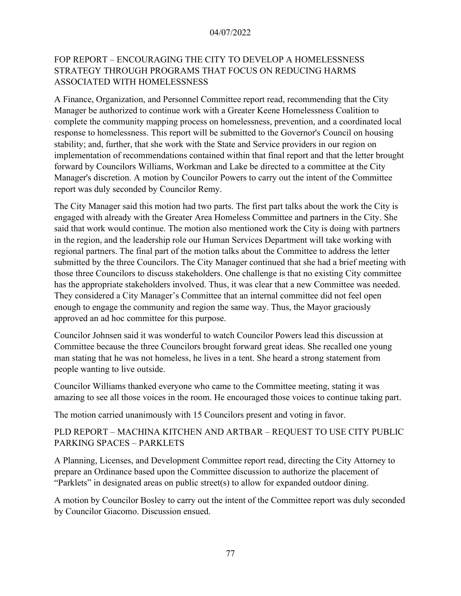# FOP REPORT – ENCOURAGING THE CITY TO DEVELOP A HOMELESSNESS STRATEGY THROUGH PROGRAMS THAT FOCUS ON REDUCING HARMS ASSOCIATED WITH HOMELESSNESS

A Finance, Organization, and Personnel Committee report read, recommending that the City Manager be authorized to continue work with a Greater Keene Homelessness Coalition to complete the community mapping process on homelessness, prevention, and a coordinated local response to homelessness. This report will be submitted to the Governor's Council on housing stability; and, further, that she work with the State and Service providers in our region on implementation of recommendations contained within that final report and that the letter brought forward by Councilors Williams, Workman and Lake be directed to a committee at the City Manager's discretion. A motion by Councilor Powers to carry out the intent of the Committee report was duly seconded by Councilor Remy.

The City Manager said this motion had two parts. The first part talks about the work the City is engaged with already with the Greater Area Homeless Committee and partners in the City. She said that work would continue. The motion also mentioned work the City is doing with partners in the region, and the leadership role our Human Services Department will take working with regional partners. The final part of the motion talks about the Committee to address the letter submitted by the three Councilors. The City Manager continued that she had a brief meeting with those three Councilors to discuss stakeholders. One challenge is that no existing City committee has the appropriate stakeholders involved. Thus, it was clear that a new Committee was needed. They considered a City Manager's Committee that an internal committee did not feel open enough to engage the community and region the same way. Thus, the Mayor graciously approved an ad hoc committee for this purpose.

Councilor Johnsen said it was wonderful to watch Councilor Powers lead this discussion at Committee because the three Councilors brought forward great ideas. She recalled one young man stating that he was not homeless, he lives in a tent. She heard a strong statement from people wanting to live outside.

Councilor Williams thanked everyone who came to the Committee meeting, stating it was amazing to see all those voices in the room. He encouraged those voices to continue taking part.

The motion carried unanimously with 15 Councilors present and voting in favor.

# PLD REPORT – MACHINA KITCHEN AND ARTBAR – REQUEST TO USE CITY PUBLIC PARKING SPACES – PARKLETS

A Planning, Licenses, and Development Committee report read, directing the City Attorney to prepare an Ordinance based upon the Committee discussion to authorize the placement of "Parklets" in designated areas on public street(s) to allow for expanded outdoor dining.

A motion by Councilor Bosley to carry out the intent of the Committee report was duly seconded by Councilor Giacomo. Discussion ensued.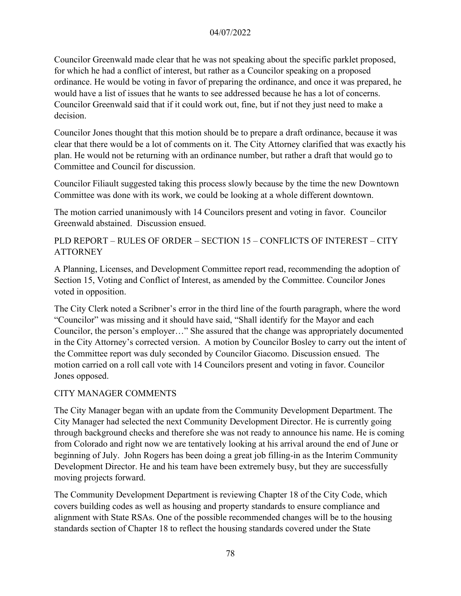Councilor Greenwald made clear that he was not speaking about the specific parklet proposed, for which he had a conflict of interest, but rather as a Councilor speaking on a proposed ordinance. He would be voting in favor of preparing the ordinance, and once it was prepared, he would have a list of issues that he wants to see addressed because he has a lot of concerns. Councilor Greenwald said that if it could work out, fine, but if not they just need to make a decision.

Councilor Jones thought that this motion should be to prepare a draft ordinance, because it was clear that there would be a lot of comments on it. The City Attorney clarified that was exactly his plan. He would not be returning with an ordinance number, but rather a draft that would go to Committee and Council for discussion.

Councilor Filiault suggested taking this process slowly because by the time the new Downtown Committee was done with its work, we could be looking at a whole different downtown.

The motion carried unanimously with 14 Councilors present and voting in favor. Councilor Greenwald abstained. Discussion ensued.

## PLD REPORT – RULES OF ORDER – SECTION 15 – CONFLICTS OF INTEREST – CITY **ATTORNEY**

A Planning, Licenses, and Development Committee report read, recommending the adoption of Section 15, Voting and Conflict of Interest, as amended by the Committee. Councilor Jones voted in opposition.

The City Clerk noted a Scribner's error in the third line of the fourth paragraph, where the word "Councilor" was missing and it should have said, "Shall identify for the Mayor and each Councilor, the person's employer…" She assured that the change was appropriately documented in the City Attorney's corrected version. A motion by Councilor Bosley to carry out the intent of the Committee report was duly seconded by Councilor Giacomo. Discussion ensued. The motion carried on a roll call vote with 14 Councilors present and voting in favor. Councilor Jones opposed.

## CITY MANAGER COMMENTS

The City Manager began with an update from the Community Development Department. The City Manager had selected the next Community Development Director. He is currently going through background checks and therefore she was not ready to announce his name. He is coming from Colorado and right now we are tentatively looking at his arrival around the end of June or beginning of July. John Rogers has been doing a great job filling-in as the Interim Community Development Director. He and his team have been extremely busy, but they are successfully moving projects forward.

The Community Development Department is reviewing Chapter 18 of the City Code, which covers building codes as well as housing and property standards to ensure compliance and alignment with State RSAs. One of the possible recommended changes will be to the housing standards section of Chapter 18 to reflect the housing standards covered under the State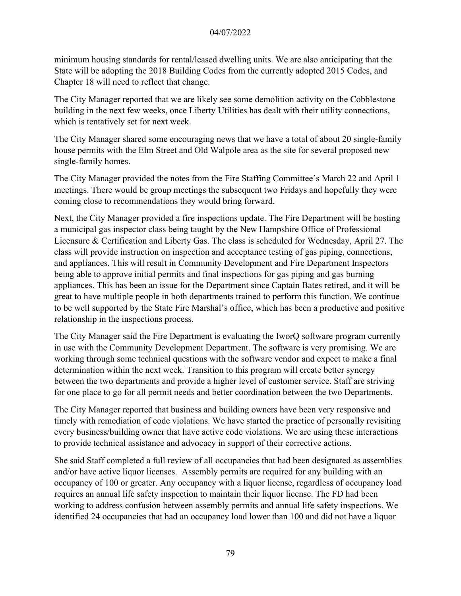minimum housing standards for rental/leased dwelling units. We are also anticipating that the State will be adopting the 2018 Building Codes from the currently adopted 2015 Codes, and Chapter 18 will need to reflect that change.

The City Manager reported that we are likely see some demolition activity on the Cobblestone building in the next few weeks, once Liberty Utilities has dealt with their utility connections, which is tentatively set for next week.

The City Manager shared some encouraging news that we have a total of about 20 single-family house permits with the Elm Street and Old Walpole area as the site for several proposed new single-family homes.

The City Manager provided the notes from the Fire Staffing Committee's March 22 and April 1 meetings. There would be group meetings the subsequent two Fridays and hopefully they were coming close to recommendations they would bring forward.

Next, the City Manager provided a fire inspections update. The Fire Department will be hosting a municipal gas inspector class being taught by the New Hampshire Office of Professional Licensure & Certification and Liberty Gas. The class is scheduled for Wednesday, April 27. The class will provide instruction on inspection and acceptance testing of gas piping, connections, and appliances. This will result in Community Development and Fire Department Inspectors being able to approve initial permits and final inspections for gas piping and gas burning appliances. This has been an issue for the Department since Captain Bates retired, and it will be great to have multiple people in both departments trained to perform this function. We continue to be well supported by the State Fire Marshal's office, which has been a productive and positive relationship in the inspections process.

The City Manager said the Fire Department is evaluating the IworQ software program currently in use with the Community Development Department. The software is very promising. We are working through some technical questions with the software vendor and expect to make a final determination within the next week. Transition to this program will create better synergy between the two departments and provide a higher level of customer service. Staff are striving for one place to go for all permit needs and better coordination between the two Departments.

The City Manager reported that business and building owners have been very responsive and timely with remediation of code violations. We have started the practice of personally revisiting every business/building owner that have active code violations. We are using these interactions to provide technical assistance and advocacy in support of their corrective actions.

She said Staff completed a full review of all occupancies that had been designated as assemblies and/or have active liquor licenses. Assembly permits are required for any building with an occupancy of 100 or greater. Any occupancy with a liquor license, regardless of occupancy load requires an annual life safety inspection to maintain their liquor license. The FD had been working to address confusion between assembly permits and annual life safety inspections. We identified 24 occupancies that had an occupancy load lower than 100 and did not have a liquor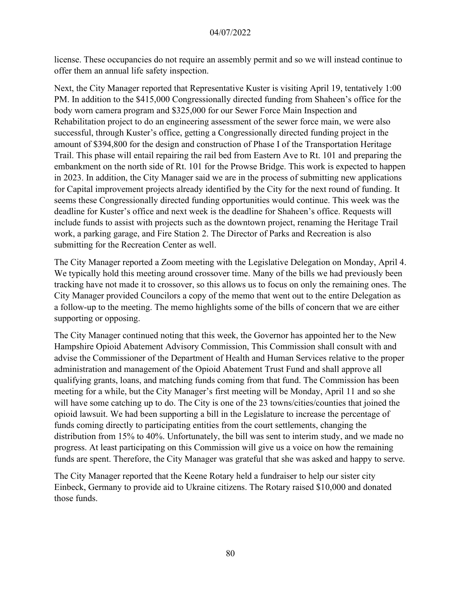license. These occupancies do not require an assembly permit and so we will instead continue to offer them an annual life safety inspection.

Next, the City Manager reported that Representative Kuster is visiting April 19, tentatively 1:00 PM. In addition to the \$415,000 Congressionally directed funding from Shaheen's office for the body worn camera program and \$325,000 for our Sewer Force Main Inspection and Rehabilitation project to do an engineering assessment of the sewer force main, we were also successful, through Kuster's office, getting a Congressionally directed funding project in the amount of \$394,800 for the design and construction of Phase I of the Transportation Heritage Trail. This phase will entail repairing the rail bed from Eastern Ave to Rt. 101 and preparing the embankment on the north side of Rt. 101 for the Prowse Bridge. This work is expected to happen in 2023. In addition, the City Manager said we are in the process of submitting new applications for Capital improvement projects already identified by the City for the next round of funding. It seems these Congressionally directed funding opportunities would continue. This week was the deadline for Kuster's office and next week is the deadline for Shaheen's office. Requests will include funds to assist with projects such as the downtown project, renaming the Heritage Trail work, a parking garage, and Fire Station 2. The Director of Parks and Recreation is also submitting for the Recreation Center as well.

The City Manager reported a Zoom meeting with the Legislative Delegation on Monday, April 4. We typically hold this meeting around crossover time. Many of the bills we had previously been tracking have not made it to crossover, so this allows us to focus on only the remaining ones. The City Manager provided Councilors a copy of the memo that went out to the entire Delegation as a follow-up to the meeting. The memo highlights some of the bills of concern that we are either supporting or opposing.

The City Manager continued noting that this week, the Governor has appointed her to the New Hampshire Opioid Abatement Advisory Commission, This Commission shall consult with and advise the Commissioner of the Department of Health and Human Services relative to the proper administration and management of the Opioid Abatement Trust Fund and shall approve all qualifying grants, loans, and matching funds coming from that fund. The Commission has been meeting for a while, but the City Manager's first meeting will be Monday, April 11 and so she will have some catching up to do. The City is one of the 23 towns/cities/counties that joined the opioid lawsuit. We had been supporting a bill in the Legislature to increase the percentage of funds coming directly to participating entities from the court settlements, changing the distribution from 15% to 40%. Unfortunately, the bill was sent to interim study, and we made no progress. At least participating on this Commission will give us a voice on how the remaining funds are spent. Therefore, the City Manager was grateful that she was asked and happy to serve.

The City Manager reported that the Keene Rotary held a fundraiser to help our sister city Einbeck, Germany to provide aid to Ukraine citizens. The Rotary raised \$10,000 and donated those funds.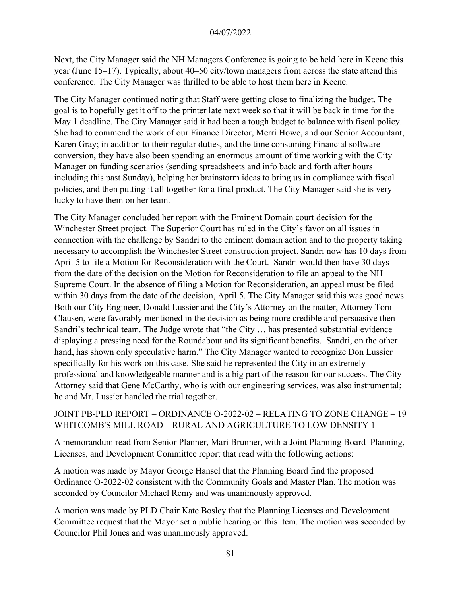Next, the City Manager said the NH Managers Conference is going to be held here in Keene this year (June 15–17). Typically, about 40–50 city/town managers from across the state attend this conference. The City Manager was thrilled to be able to host them here in Keene.

The City Manager continued noting that Staff were getting close to finalizing the budget. The goal is to hopefully get it off to the printer late next week so that it will be back in time for the May 1 deadline. The City Manager said it had been a tough budget to balance with fiscal policy. She had to commend the work of our Finance Director, Merri Howe, and our Senior Accountant, Karen Gray; in addition to their regular duties, and the time consuming Financial software conversion, they have also been spending an enormous amount of time working with the City Manager on funding scenarios (sending spreadsheets and info back and forth after hours including this past Sunday), helping her brainstorm ideas to bring us in compliance with fiscal policies, and then putting it all together for a final product. The City Manager said she is very lucky to have them on her team.

The City Manager concluded her report with the Eminent Domain court decision for the Winchester Street project. The Superior Court has ruled in the City's favor on all issues in connection with the challenge by Sandri to the eminent domain action and to the property taking necessary to accomplish the Winchester Street construction project. Sandri now has 10 days from April 5 to file a Motion for Reconsideration with the Court. Sandri would then have 30 days from the date of the decision on the Motion for Reconsideration to file an appeal to the NH Supreme Court. In the absence of filing a Motion for Reconsideration, an appeal must be filed within 30 days from the date of the decision, April 5. The City Manager said this was good news. Both our City Engineer, Donald Lussier and the City's Attorney on the matter, Attorney Tom Clausen, were favorably mentioned in the decision as being more credible and persuasive then Sandri's technical team. The Judge wrote that "the City … has presented substantial evidence displaying a pressing need for the Roundabout and its significant benefits. Sandri, on the other hand, has shown only speculative harm." The City Manager wanted to recognize Don Lussier specifically for his work on this case. She said he represented the City in an extremely professional and knowledgeable manner and is a big part of the reason for our success. The City Attorney said that Gene McCarthy, who is with our engineering services, was also instrumental; he and Mr. Lussier handled the trial together.

## JOINT PB-PLD REPORT – ORDINANCE O-2022-02 – RELATING TO ZONE CHANGE – 19 WHITCOMB'S MILL ROAD – RURAL AND AGRICULTURE TO LOW DENSITY 1

A memorandum read from Senior Planner, Mari Brunner, with a Joint Planning Board–Planning, Licenses, and Development Committee report that read with the following actions:

A motion was made by Mayor George Hansel that the Planning Board find the proposed Ordinance O-2022-02 consistent with the Community Goals and Master Plan. The motion was seconded by Councilor Michael Remy and was unanimously approved.

A motion was made by PLD Chair Kate Bosley that the Planning Licenses and Development Committee request that the Mayor set a public hearing on this item. The motion was seconded by Councilor Phil Jones and was unanimously approved.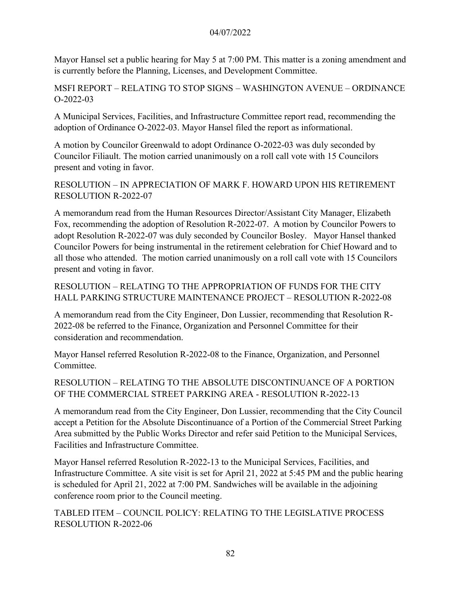Mayor Hansel set a public hearing for May 5 at 7:00 PM. This matter is a zoning amendment and is currently before the Planning, Licenses, and Development Committee.

MSFI REPORT – RELATING TO STOP SIGNS – WASHINGTON AVENUE – ORDINANCE O-2022-03

A Municipal Services, Facilities, and Infrastructure Committee report read, recommending the adoption of Ordinance O-2022-03. Mayor Hansel filed the report as informational.

A motion by Councilor Greenwald to adopt Ordinance O-2022-03 was duly seconded by Councilor Filiault. The motion carried unanimously on a roll call vote with 15 Councilors present and voting in favor.

RESOLUTION – IN APPRECIATION OF MARK F. HOWARD UPON HIS RETIREMENT RESOLUTION R-2022-07

A memorandum read from the Human Resources Director/Assistant City Manager, Elizabeth Fox, recommending the adoption of Resolution R-2022-07. A motion by Councilor Powers to adopt Resolution R-2022-07 was duly seconded by Councilor Bosley. Mayor Hansel thanked Councilor Powers for being instrumental in the retirement celebration for Chief Howard and to all those who attended. The motion carried unanimously on a roll call vote with 15 Councilors present and voting in favor.

RESOLUTION – RELATING TO THE APPROPRIATION OF FUNDS FOR THE CITY HALL PARKING STRUCTURE MAINTENANCE PROJECT – RESOLUTION R-2022-08

A memorandum read from the City Engineer, Don Lussier, recommending that Resolution R-2022-08 be referred to the Finance, Organization and Personnel Committee for their consideration and recommendation.

Mayor Hansel referred Resolution R-2022-08 to the Finance, Organization, and Personnel Committee.

RESOLUTION – RELATING TO THE ABSOLUTE DISCONTINUANCE OF A PORTION OF THE COMMERCIAL STREET PARKING AREA - RESOLUTION R-2022-13

A memorandum read from the City Engineer, Don Lussier, recommending that the City Council accept a Petition for the Absolute Discontinuance of a Portion of the Commercial Street Parking Area submitted by the Public Works Director and refer said Petition to the Municipal Services, Facilities and Infrastructure Committee.

Mayor Hansel referred Resolution R-2022-13 to the Municipal Services, Facilities, and Infrastructure Committee. A site visit is set for April 21, 2022 at 5:45 PM and the public hearing is scheduled for April 21, 2022 at 7:00 PM. Sandwiches will be available in the adjoining conference room prior to the Council meeting.

TABLED ITEM – COUNCIL POLICY: RELATING TO THE LEGISLATIVE PROCESS RESOLUTION R-2022-06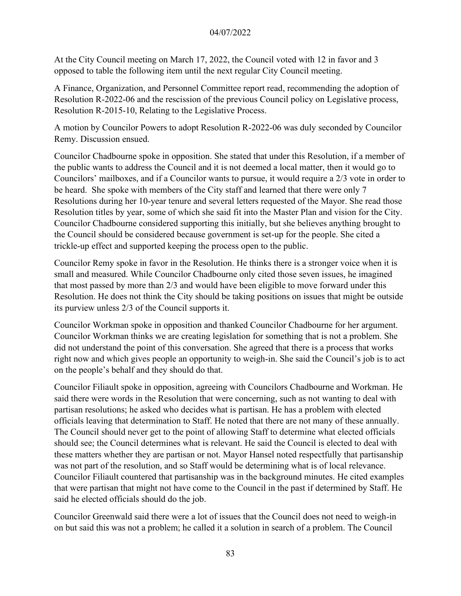At the City Council meeting on March 17, 2022, the Council voted with 12 in favor and 3 opposed to table the following item until the next regular City Council meeting.

A Finance, Organization, and Personnel Committee report read, recommending the adoption of Resolution R-2022-06 and the rescission of the previous Council policy on Legislative process, Resolution R-2015-10, Relating to the Legislative Process.

A motion by Councilor Powers to adopt Resolution R-2022-06 was duly seconded by Councilor Remy. Discussion ensued.

Councilor Chadbourne spoke in opposition. She stated that under this Resolution, if a member of the public wants to address the Council and it is not deemed a local matter, then it would go to Councilors' mailboxes, and if a Councilor wants to pursue, it would require a 2/3 vote in order to be heard. She spoke with members of the City staff and learned that there were only 7 Resolutions during her 10-year tenure and several letters requested of the Mayor. She read those Resolution titles by year, some of which she said fit into the Master Plan and vision for the City. Councilor Chadbourne considered supporting this initially, but she believes anything brought to the Council should be considered because government is set-up for the people. She cited a trickle-up effect and supported keeping the process open to the public.

Councilor Remy spoke in favor in the Resolution. He thinks there is a stronger voice when it is small and measured. While Councilor Chadbourne only cited those seven issues, he imagined that most passed by more than 2/3 and would have been eligible to move forward under this Resolution. He does not think the City should be taking positions on issues that might be outside its purview unless 2/3 of the Council supports it.

Councilor Workman spoke in opposition and thanked Councilor Chadbourne for her argument. Councilor Workman thinks we are creating legislation for something that is not a problem. She did not understand the point of this conversation. She agreed that there is a process that works right now and which gives people an opportunity to weigh-in. She said the Council's job is to act on the people's behalf and they should do that.

Councilor Filiault spoke in opposition, agreeing with Councilors Chadbourne and Workman. He said there were words in the Resolution that were concerning, such as not wanting to deal with partisan resolutions; he asked who decides what is partisan. He has a problem with elected officials leaving that determination to Staff. He noted that there are not many of these annually. The Council should never get to the point of allowing Staff to determine what elected officials should see; the Council determines what is relevant. He said the Council is elected to deal with these matters whether they are partisan or not. Mayor Hansel noted respectfully that partisanship was not part of the resolution, and so Staff would be determining what is of local relevance. Councilor Filiault countered that partisanship was in the background minutes. He cited examples that were partisan that might not have come to the Council in the past if determined by Staff. He said he elected officials should do the job.

Councilor Greenwald said there were a lot of issues that the Council does not need to weigh-in on but said this was not a problem; he called it a solution in search of a problem. The Council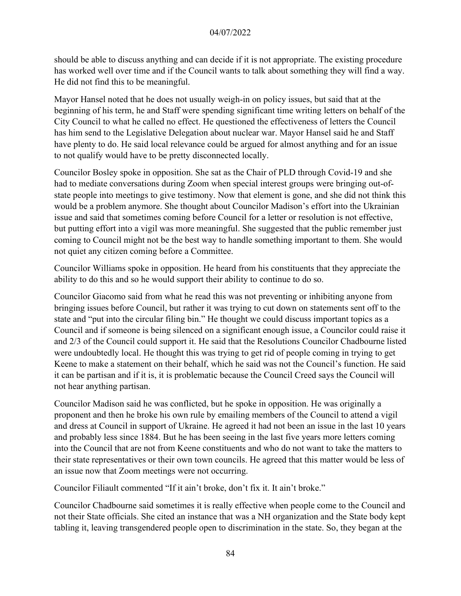should be able to discuss anything and can decide if it is not appropriate. The existing procedure has worked well over time and if the Council wants to talk about something they will find a way. He did not find this to be meaningful.

Mayor Hansel noted that he does not usually weigh-in on policy issues, but said that at the beginning of his term, he and Staff were spending significant time writing letters on behalf of the City Council to what he called no effect. He questioned the effectiveness of letters the Council has him send to the Legislative Delegation about nuclear war. Mayor Hansel said he and Staff have plenty to do. He said local relevance could be argued for almost anything and for an issue to not qualify would have to be pretty disconnected locally.

Councilor Bosley spoke in opposition. She sat as the Chair of PLD through Covid-19 and she had to mediate conversations during Zoom when special interest groups were bringing out-ofstate people into meetings to give testimony. Now that element is gone, and she did not think this would be a problem anymore. She thought about Councilor Madison's effort into the Ukrainian issue and said that sometimes coming before Council for a letter or resolution is not effective, but putting effort into a vigil was more meaningful. She suggested that the public remember just coming to Council might not be the best way to handle something important to them. She would not quiet any citizen coming before a Committee.

Councilor Williams spoke in opposition. He heard from his constituents that they appreciate the ability to do this and so he would support their ability to continue to do so.

Councilor Giacomo said from what he read this was not preventing or inhibiting anyone from bringing issues before Council, but rather it was trying to cut down on statements sent off to the state and "put into the circular filing bin." He thought we could discuss important topics as a Council and if someone is being silenced on a significant enough issue, a Councilor could raise it and 2/3 of the Council could support it. He said that the Resolutions Councilor Chadbourne listed were undoubtedly local. He thought this was trying to get rid of people coming in trying to get Keene to make a statement on their behalf, which he said was not the Council's function. He said it can be partisan and if it is, it is problematic because the Council Creed says the Council will not hear anything partisan.

Councilor Madison said he was conflicted, but he spoke in opposition. He was originally a proponent and then he broke his own rule by emailing members of the Council to attend a vigil and dress at Council in support of Ukraine. He agreed it had not been an issue in the last 10 years and probably less since 1884. But he has been seeing in the last five years more letters coming into the Council that are not from Keene constituents and who do not want to take the matters to their state representatives or their own town councils. He agreed that this matter would be less of an issue now that Zoom meetings were not occurring.

Councilor Filiault commented "If it ain't broke, don't fix it. It ain't broke."

Councilor Chadbourne said sometimes it is really effective when people come to the Council and not their State officials. She cited an instance that was a NH organization and the State body kept tabling it, leaving transgendered people open to discrimination in the state. So, they began at the